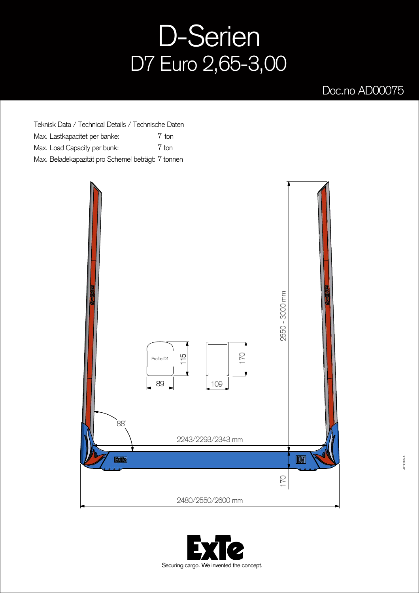## D-Serien D7 Euro 2,65-3,00

## Doc.no AD00075

Teknisk Data / Technical Details / Technische Daten Max. Lastkapacitet per banke: Max. Load Capacity per bunk: Max. Beladekapazität pro Schemel beträgt: 7 tonnen 7 ton 7 ton